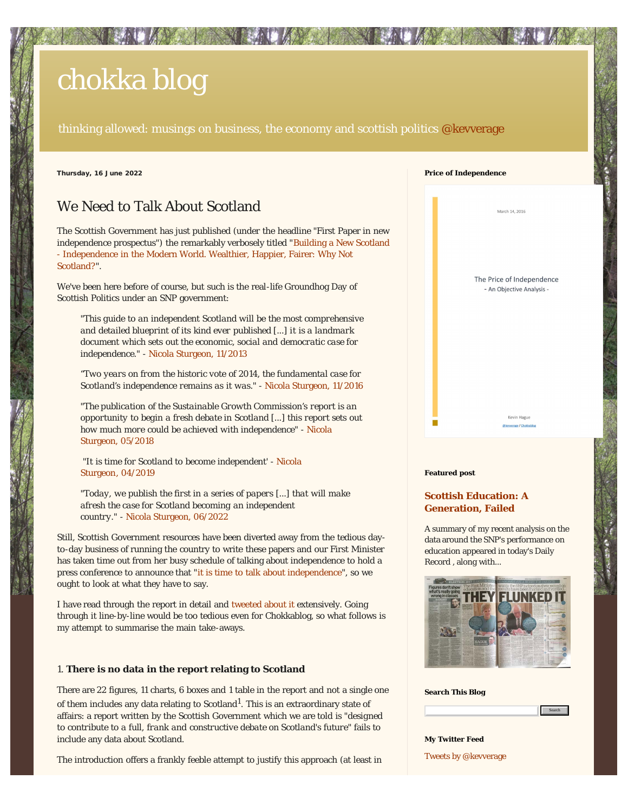# <span id="page-0-0"></span>[chokka blog](https://chokkablog.blogspot.com/)

thinking allowed: musings on business, the economy and scottish politics  $@$  kevverage

Thursday, 16 June 2022

# We Need to Talk About Scotland

The Scottish Government has just published (under the headline "First Paper in new independence prospectus") the remarkably verbosely titled "[Building a New Scotland](https://www.gov.scot/publications/independence-modern-world-wealthier-happier-fairer-not-scotland/) [- Independence in the Modern World. Wealthier, Happier, Fairer: Why Not](https://www.gov.scot/publications/independence-modern-world-wealthier-happier-fairer-not-scotland/) [Scotland?"](https://www.gov.scot/publications/independence-modern-world-wealthier-happier-fairer-not-scotland/).

We've been here before of course, but such is the real-life Groundhog Day of Scottish Politics under an SNP government:

*"This guide to an independent Scotland will be the most comprehensive and detailed blueprint of its kind ever published [...] it is a landmark document which sets out the economic, social and democratic case for independence."* - [Nicola Sturgeon, 11/2013](https://www.bbc.co.uk/news/uk-scotland-scotland-politics-25070576)

*"Two years on from the historic vote of 2014, the fundamental case for Scotland's independence remains as it was." -* [Nicola Sturgeon, 11/2016](https://www.heraldscotland.com/news/14749853.nicola-sturgeon-independence-transcends-brexit-oil-economy/)

*"The publication of the Sustainable Growth Commission's report is an opportunity to begin a fresh debate in Scotland [...] this report sets out how much more could be achieved with independence"* - [Nicola](https://www.scotsman.com/news/politics/nicola-sturgeon-growth-commission-report-candid-about-indy-challenges-288085) [Sturgeon, 05/2018](https://www.scotsman.com/news/politics/nicola-sturgeon-growth-commission-report-candid-about-indy-challenges-288085)

*"It is time for Scotland to become independent'* - [Nicola](https://www.euronews.com/2019/04/28/scottish-independence-it-s-time-says-snp-leader-nicola-sturgeon) [Sturgeon](https://www.euronews.com/2019/04/28/scottish-independence-it-s-time-says-snp-leader-nicola-sturgeon)*[,](https://www.euronews.com/2019/04/28/scottish-independence-it-s-time-says-snp-leader-nicola-sturgeon)* [04/2019](https://www.euronews.com/2019/04/28/scottish-independence-it-s-time-says-snp-leader-nicola-sturgeon)

*"Today, we publish the first in a series of papers [...] that will make afresh the case for Scotland becoming an independent country."* - [Nicola Sturgeon, 06/2022](https://www.snp.org/nicola-sturgeons-speech-launching-the-case-for-independence/)

Still, Scottish Government resources have been diverted away from the tedious dayto-day business of running the country to write these papers and our First Minister has taken time out from her busy schedule of talking about independence to hold a press conference to announce that "[it is time to talk about independence"](https://www.heraldscotland.com/politics/20208290.nicola-sturgeon-launches-renewed-case-scottish-independence/), so we ought to look at what they have to say.

I have read through the report in detail and [tweeted about it](https://twitter.com/i/timeline) extensively. Going through it line-by-line would be too tedious even for Chokkablog, so what follows is my attempt to summarise the main take-aways.

## 1. **There is no data in the report relating to Scotland**

There are 22 figures, 11 charts, 6 boxes and 1 table in the report and not a single one of them includes any data relating to Scotland $^1$ . This is an extraordinary state of affairs: a report written by the Scottish Government which we are told is *"designed to contribute to a full, frank and constructive debate on Scotland's future"* fails to include any data about Scotland.

The introduction offers a frankly feeble attempt to justify this approach (at least in

| <b>Price of Independence</b> |                                                        |  |
|------------------------------|--------------------------------------------------------|--|
|                              | March 14, 2016                                         |  |
|                              | The Price of Independence<br>- An Objective Analysis - |  |
|                              | Kevin Hague<br>@kevverage / Chokkablog                 |  |
|                              |                                                        |  |
| <b>Featured post</b>         |                                                        |  |

# **[Scottish Education: A](https://chokkablog.blogspot.com/2017/06/scottish-education-generation-failed.html) [Generation, Failed](https://chokkablog.blogspot.com/2017/06/scottish-education-generation-failed.html)**

A summary of my recent analysis on the data around the SNP's performance on education appeared in today's Daily Record , along with...



**Search This Blog**



[Tweets by @kevverage](https://twitter.com/kevverage) **My Twitter Feed**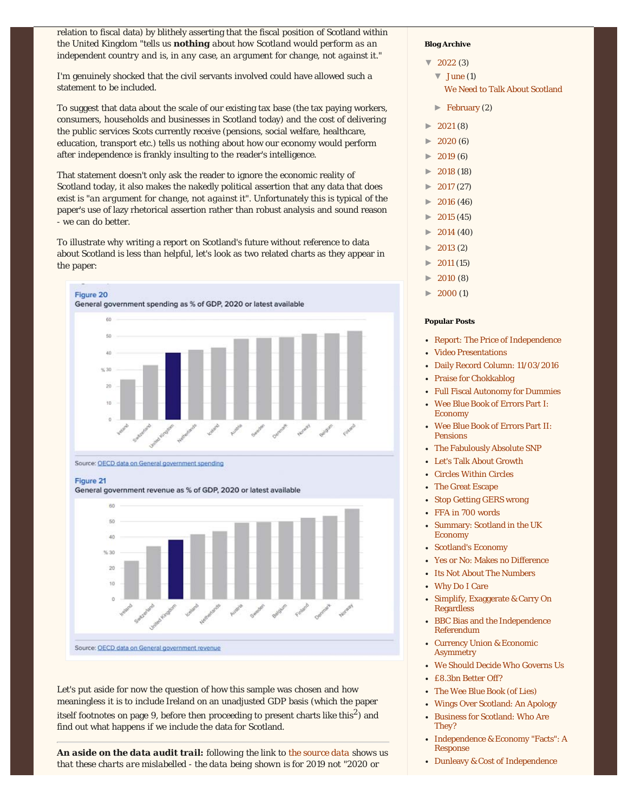relation to fiscal data) by blithely asserting that the fiscal position of Scotland within the United Kingdom *"tells us nothing about how Scotland would perform as an independent country and is, in any case, an argument for change, not against it."*

I'm genuinely shocked that the civil servants involved could have allowed such a statement to be included.

To suggest that data about the scale of our existing tax base (the tax paying workers, consumers, households and businesses in Scotland today) and the cost of delivering the public services Scots currently receive (pensions, social welfare, healthcare, education, transport etc.) tells us *nothing* about how our economy would perform after independence is frankly insulting to the reader's intelligence.

That statement doesn't only ask the reader to ignore the economic reality of Scotland today, it also makes the nakedly political assertion that any data that does exist is *"an argument for change, not against it".* Unfortunately this is typical of the paper's use of lazy rhetorical assertion rather than robust analysis and sound reason - we can do better.

To illustrate why writing a report on Scotland's future without reference to data about Scotland is less than helpful, let's look as two related charts as they appear in the paper:



Source: OECD data on General government spending

Figure 21

General government revenue as % of GDP, 2020 or latest available



Let's put aside for now the question of how this sample was chosen and how meaningless it is to include Ireland on an unadjusted GDP basis (which the paper itself footnotes on page 9, before then proceeding to present charts like this<sup>2</sup>) and find out what happens if we include the data for Scotland.

*An aside on the data audit trail: following the link to [the source data](https://data.oecd.org/gga/general-government-spending.htm#indicator-chart) shows us that these charts are mislabelled - the data being shown is for 2019 not "2020 or*

## **Blog Archive**

- $\nabla$  [2022 \(](https://chokkablog.blogspot.com/2022/)3)
	- $\blacktriangledown$  [June \(](https://chokkablog.blogspot.com/2022/06/)1) [We Need to Talk About Scotland](#page-0-0)
	- [►](javascript:void(0)) [February \(](https://chokkablog.blogspot.com/2022/02/)2)
	- [►](javascript:void(0)) [2021 \(](https://chokkablog.blogspot.com/2021/)8)
- [►](javascript:void(0)) [2020 \(](https://chokkablog.blogspot.com/2020/)6)
- [►](javascript:void(0)) [2019 \(](https://chokkablog.blogspot.com/2019/)6)
- [►](javascript:void(0)) [2018 \(](https://chokkablog.blogspot.com/2018/)18)
- [►](javascript:void(0)) [2017 \(](https://chokkablog.blogspot.com/2017/)27)
- [►](javascript:void(0)) [2016 \(](https://chokkablog.blogspot.com/2016/)46)
- [►](javascript:void(0)) [2015 \(](https://chokkablog.blogspot.com/2015/)45)
- [►](javascript:void(0)) [2014 \(](https://chokkablog.blogspot.com/2014/)40)
- [►](javascript:void(0)) [2013 \(](https://chokkablog.blogspot.com/2013/)2)
- [►](javascript:void(0)) [2011 \(](https://chokkablog.blogspot.com/2011/)15)
- [►](javascript:void(0)) [2010 \(](https://chokkablog.blogspot.com/2010/)8)
- [►](javascript:void(0)) [2000 \(](https://chokkablog.blogspot.com/2000/)1)

## **Popular Posts**

- [Report: The Price of Independence](http://chokkablog.blogspot.co.uk/2016/03/the-price-of-independence.html)
- [Video Presentations](https://www.youtube.com/playlist?list=PL-7OVl8SEba2KyZQc5Jkw8XuhfRTtrL3k)
- [Daily Record Column: 11/03/2016](http://chokkablog.blogspot.co.uk/2016/03/why-we-should-be-glad-we-voted-no.html)
- [Praise for Chokkablog](http://chokkablog.blogspot.co.uk/2015/04/praise-for-chokkablog.html)
- [Full Fiscal Autonomy for Dummies](http://chokkablog.blogspot.co.uk/2015/04/full-fiscal-autonomy-for-dummies.html)
- [Wee Blue Book of Errors Part I:](http://chokkablog.blogspot.co.uk/2015/10/wings-and-his-wee-blue-book-of-errors.html) [Economy](http://chokkablog.blogspot.co.uk/2015/10/wings-and-his-wee-blue-book-of-errors.html)
- [Wee Blue Book of Errors Part II:](http://chokkablog.blogspot.co.uk/2015/10/wings-wee-blue-book-of-errors-part-ii.html) [Pensions](http://chokkablog.blogspot.co.uk/2015/10/wings-wee-blue-book-of-errors-part-ii.html)
- [The Fabulously Absolute SNP](http://chokkablog.blogspot.co.uk/2015/10/the-absolutely-fabulous-snp.html)
- [Let's Talk About Growth](http://chokkablog.blogspot.co.uk/2015/06/lets-talk-about-growth.html)
- [Circles Within Circles](http://chokkablog.blogspot.co.uk/2015/05/circles-within-circles.html)
- [The Great Escape](http://chokkablog.blogspot.co.uk/2015/05/the-great-escape.html)
- [Stop Getting GERS wrong](http://chokkablog.blogspot.co.uk/2015/06/stop-getting-gers-wrong.html)
- [FFA in 700 words](http://chokkablog.blogspot.co.uk/2015/04/full-fiscal-autonomy-in-700-words.html)
- [Summary: Scotland in the UK](http://chokkablog.blogspot.co.uk/2015/03/simple-summary.html) [Economy](http://chokkablog.blogspot.co.uk/2015/03/simple-summary.html)
- [Scotland's Economy](http://chokkablog.blogspot.co.uk/2015/02/scotlands-economy.html)
- [Yes or No: Makes no Difference](http://chokkablog.blogspot.co.uk/2015/02/yes-or-no-makes-no-difference.html)
- [Its Not About The Numbers](http://chokkablog.blogspot.co.uk/2014/08/its-not-about-numbers.html)
- [Why Do I Care](http://chokkablog.blogspot.co.uk/2015/03/why-do-i-care.html)
- [Simplify, Exaggerate & Carry On](http://chokkablog.blogspot.co.uk/2015/02/simplify-exaggerate-and-carry-on.html) [Regardless](http://chokkablog.blogspot.co.uk/2015/02/simplify-exaggerate-and-carry-on.html)
- [BBC Bias and the Independence](http://chokkablog.blogspot.co.uk/2014/11/bbc-bias-and-independence-referendum.html) [Referendum](http://chokkablog.blogspot.co.uk/2014/11/bbc-bias-and-independence-referendum.html)
- [Currency Union & Economic](http://chokkablog.blogspot.co.uk/2014/07/currency-union-and-economic-asymmetry.html) **[Asymmetry](http://chokkablog.blogspot.co.uk/2014/07/currency-union-and-economic-asymmetry.html)**
- [We Should Decide Who Governs Us](http://chokkablog.blogspot.co.uk/2014/05/we-should-decide-who-governs-us.html)
- [£8.3bn Better Off?](http://chokkablog.blogspot.co.uk/2014/08/83bn-better-off.html)
- [The Wee Blue Book \(of Lies\)](http://chokkablog.blogspot.co.uk/2014/08/the-wee-blue-book-of-lies.html)
- [Wings Over Scotland: An Apology](http://chokkablog.blogspot.co.uk/2015/02/wings-over-scotland-apology.html)
- [Business for Scotland: Who Are](http://chokkablog.blogspot.co.uk/2014/06/who-do-business-for-scotland-represent.html) [They?](http://chokkablog.blogspot.co.uk/2014/06/who-do-business-for-scotland-represent.html)
- [Independence & Economy "Facts": A](http://chokkablog.blogspot.co.uk/2014/07/response-to-independence-and-economy.html) [Response](http://chokkablog.blogspot.co.uk/2014/07/response-to-independence-and-economy.html)
- [Dunleavy & Cost of Independence](http://chokkablog.blogspot.co.uk/2014/06/dunleavy-and-costs-of-independence.html)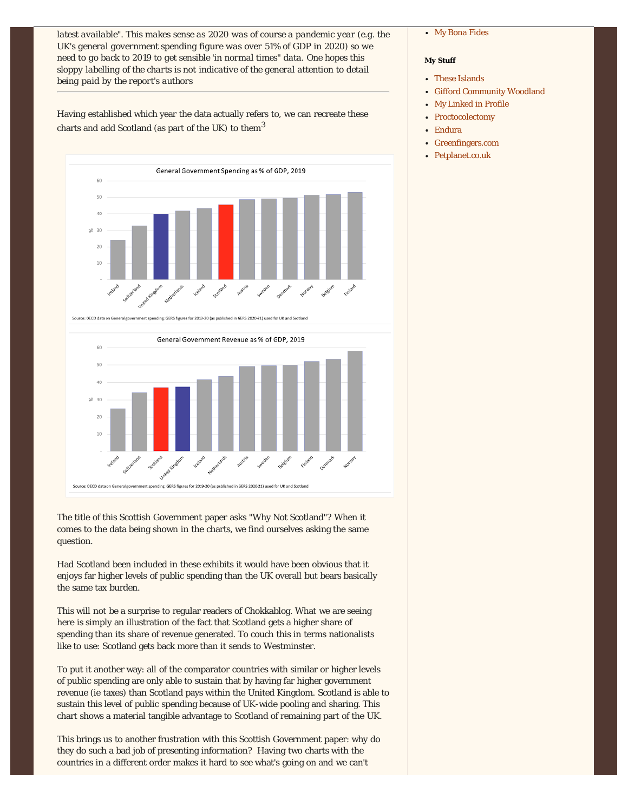*latest available". This makes sense as 2020 was of course a pandemic year (e.g. the UK's general government spending figure was over 51% of GDP in 2020) so we need to go back to 2019 to get sensible 'in normal times" data. One hopes this sloppy labelling of the charts is not indicative of the general attention to detail being paid by the report's authors*

Having established which year the data actually refers to, we can recreate these charts and add Scotland (as part of the UK) to them<sup>3</sup>



Source: OECD data on Ge ernment spending; GERS figures for 2019-20 (as published in GERS 2020-21) used for UK and Scotland



The title of this Scottish Government paper asks "Why Not Scotland"? When it comes to the data being shown in the charts, we find ourselves asking the same question.

Had Scotland been included in these exhibits it would have been obvious that it enjoys far higher levels of public spending than the UK overall but bears basically the same tax burden.

This will not be a surprise to regular readers of Chokkablog. What we are seeing here is simply an illustration of the fact that Scotland gets a higher share of spending than its share of revenue generated. To couch this in terms nationalists like to use: Scotland gets back more than it sends to Westminster.

To put it another way: all of the comparator countries with similar or higher levels of public spending are only able to sustain that by having far higher government revenue (ie taxes) than Scotland pays within the United Kingdom. Scotland is able to sustain this level of public spending because of UK-wide pooling and sharing. This chart shows a material tangible advantage to Scotland of remaining part of the UK.

This brings us to another frustration with this Scottish Government paper: why do they do such a bad job of presenting information? Having two charts with the countries in a different order makes it hard to see what's going on and we can't

## [My Bona Fides](http://chokkablog.blogspot.co.uk/2014/05/the-referendum-debate-my-bona-fides.html)

## **My Stuff**

- [These Islands](http://www.these-islands.co.uk/)
- [Gifford Community Woodland](http://giffordcommunitywoods.blogspot.co.uk/)
- [My Linked in Profile](http://uk.linkedin.com/in/khague/)
- [Proctocolectomy](http://colonoff.blogspot.co.uk/)
- [Endura](http://www.endura.co.uk/)
- [Greenfingers.com](http://www.greenfingers.com/)
- [Petplanet.co.uk](http://www.petplanet.co.uk/)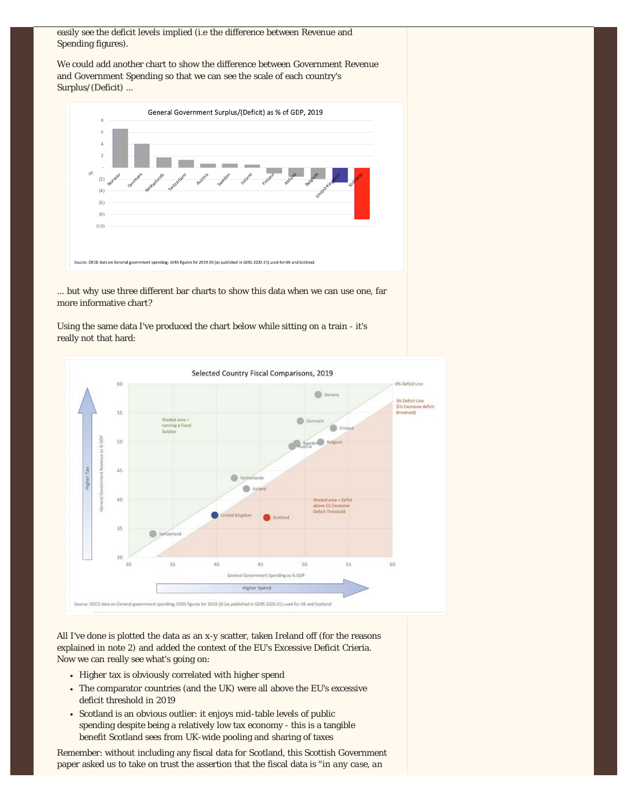easily see the deficit levels implied (i.e the difference between Revenue and Spending figures).

We could add another chart to show the difference between Government Revenue and Government Spending so that we can see the scale of each country's Surplus/(Deficit) ...



... but why use three different bar charts to show this data when we can use one, far more informative chart?

Using the same data I've produced the chart below while sitting on a train - it's really not that hard:



All I've done is plotted the data as an x-y scatter, taken Ireland off (for the reasons explained in note 2) and added the context of the EU's Excessive Deficit Crieria. Now we can really see what's going on:

- Higher tax is obviously correlated with higher spend
- The comparator countries (and the UK) were all above the EU's excessive deficit threshold in 2019
- Scotland is an obvious outlier: it enjoys mid-table levels of public  $\bullet$ spending despite being a relatively low tax economy - this is a tangible benefit Scotland sees from UK-wide pooling and sharing of taxes

Remember: without including any fiscal data for Scotland, this Scottish Government paper asked us to take on trust the assertion that the fiscal data is "*in any case, an*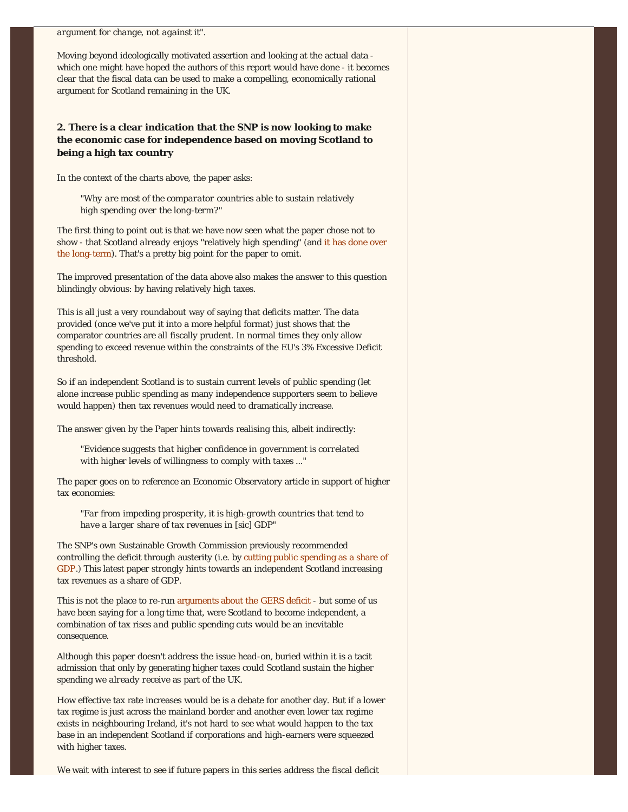*argument for change, not against it".*

Moving beyond ideologically motivated assertion and looking at the actual data which one might have hoped the authors of this report would have done - it becomes clear that the fiscal data can be used to make a compelling, economically rational argument for Scotland remaining in the UK.

## **2. There is a clear indication that the SNP is now looking to make the economic case for independence based on moving Scotland to being a high tax country**

In the context of the charts above, the paper asks:

*"Why are most of the comparator countries able to sustain relatively high spending over the long-term?"*

The first thing to point out is that we have now seen what the paper chose not to show - that Scotland *already* enjoys "relatively high spending" (and [it has done over](https://www.these-islands.co.uk/publications/i377/gers_2021_a_deep_dive.aspx) [the long-term\)](https://www.these-islands.co.uk/publications/i377/gers_2021_a_deep_dive.aspx). That's a pretty big point for the paper to omit.

The improved presentation of the data above also makes the answer to this question blindingly obvious: by having relatively high taxes.

This is all just a very roundabout way of saying that deficits matter. The data provided (once we've put it into a more helpful format) just shows that the comparator countries are all fiscally prudent. In normal times they only allow spending to exceed revenue within the constraints of the EU's 3% Excessive Deficit threshold.

So if an independent Scotland is to sustain current levels of public spending (let alone increase public spending as many independence supporters seem to believe would happen) then tax revenues would need to dramatically increase.

The answer given by the Paper hints towards realising this, albeit indirectly:

*"Evidence suggests that higher confidence in government is correlated with higher levels of willingness to comply with taxes ..."*

The paper goes on to reference an Economic Observatory article in support of higher tax economies:

*"Far from impeding prosperity, it is high-growth countries that tend to have a larger share of tax revenues in [sic] GDP"*

The SNP's own Sustainable Growth Commission previously recommended controlling the deficit through austerity (i.e. by [cutting public spending as a share of](https://www.these-islands.co.uk/publications/i307/gc_5_the_truth_about_austerity.aspx) [GDP.](https://www.these-islands.co.uk/publications/i307/gc_5_the_truth_about_austerity.aspx)) This latest paper strongly hints towards an independent Scotland increasing tax revenues as a share of GDP.

This is not the place to re-run [arguments about the GERS deficit](https://www.these-islands.co.uk/publications/i377/gers_2021_a_deep_dive.aspx) - but some of us have been saying for a long time that, were Scotland to become independent, a combination of tax rises *and* public spending cuts would be an inevitable consequence.

Although this paper doesn't address the issue head-on, buried within it is a tacit admission that only by generating higher taxes could Scotland sustain the higher spending *we already receive* as part of the UK.

How effective tax rate increases would be is a debate for another day. But if a lower tax regime is just across the mainland border and another even lower tax regime exists in neighbouring Ireland, it's not hard to see what would happen to the tax base in an independent Scotland if corporations and high-earners were squeezed with higher taxes.

We wait with interest to see if future papers in this series address the fiscal deficit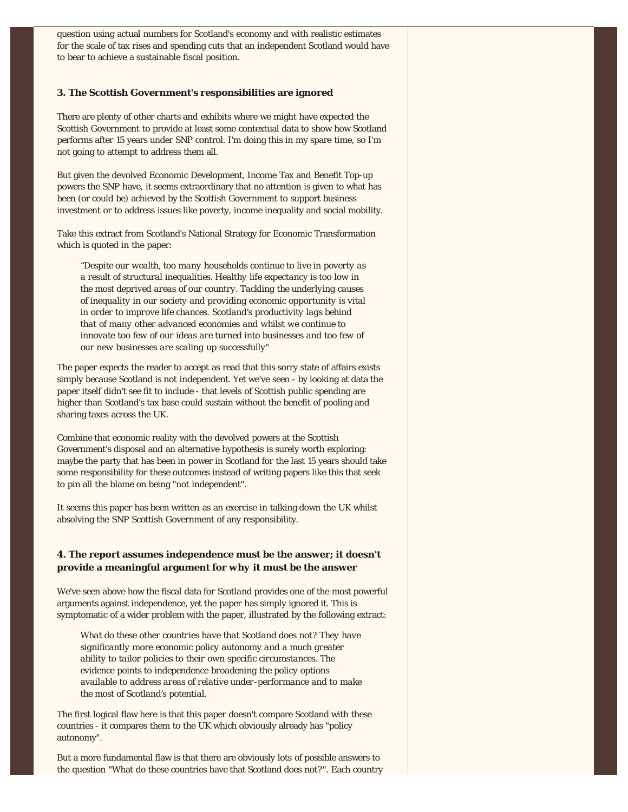question using actual numbers for Scotland's economy and with realistic estimates for the scale of tax rises and spending cuts that an independent Scotland would have to bear to achieve a sustainable fiscal position.

## **3. The Scottish Government's responsibilities are ignored**

There are plenty of other charts and exhibits where we might have expected the Scottish Government to provide at least some contextual data to show how Scotland performs after 15 years under SNP control. I'm doing this in my spare time, so I'm not going to attempt to address them all.

But given the devolved Economic Development, Income Tax and Benefit Top-up powers the SNP have, it seems extraordinary that no attention is given to what has been (or could be) achieved by the Scottish Government to support business investment or to address issues like poverty, income inequality and social mobility.

Take this extract from Scotland's National Strategy for Economic Transformation which is quoted in the paper:

*"Despite our wealth, too many households continue to live in poverty as a result of structural inequalities. Healthy life expectancy is too low in the most deprived areas of our country. Tackling the underlying causes of inequality in our society and providing economic opportunity is vital in order to improve life chances. Scotland's productivity lags behind that of many other advanced economies and whilst we continue to innovate too few of our ideas are turned into businesses and too few of our new businesses are scaling up successfully"*

The paper expects the reader to accept as read that this sorry state of affairs exists simply because Scotland is not independent. Yet we've seen - by looking at data the paper itself didn't see fit to include - that levels of Scottish public spending are higher than Scotland's tax base could sustain without the benefit of pooling and sharing taxes across the UK.

Combine that economic reality with the devolved powers at the Scottish Government's disposal and an alternative hypothesis is surely worth exploring: maybe the party that has been in power in Scotland for the last 15 years should take some responsibility for these outcomes instead of writing papers like this that seek to pin all the blame on being "not independent".

It seems this paper has been written as an exercise in talking down the UK whilst absolving the SNP Scottish Government of any responsibility.

## **4. The report assumes independence must be the answer; it doesn't provide a meaningful argument for** *why* **it must be the answer**

We've seen above how the fiscal data *for Scotland* provides one of the most powerful arguments against independence, yet the paper has simply ignored it. This is symptomatic of a wider problem with the paper, illustrated by the following extract:

*What do these other countries have that Scotland does not? They have significantly more economic policy autonomy and a much greater ability to tailor policies to their own specific circumstances. The evidence points to independence broadening the policy options available to address areas of relative under-performance and to make the most of Scotland's potential.* 

The first logical flaw here is that this paper doesn't compare Scotland with these countries - it compares them to the UK which obviously already has "policy autonomy".

But a more fundamental flaw is that there are obviously lots of possible answers to the question "What do these countries have that Scotland does not?". Each country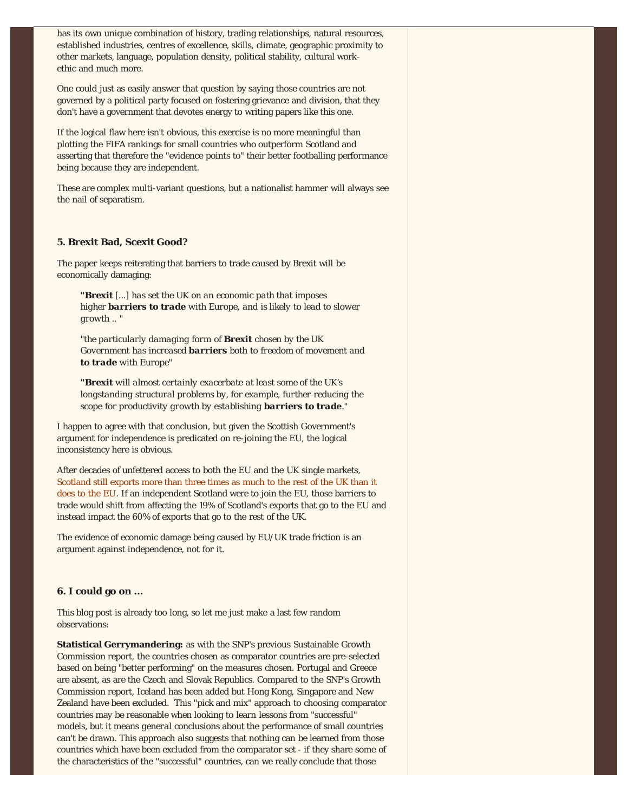has its own unique combination of history, trading relationships, natural resources, established industries, centres of excellence, skills, climate, geographic proximity to other markets, language, population density, political stability, cultural workethic and much more.

One could just as easily answer that question by saying those countries are not governed by a political party focused on fostering grievance and division, that they don't have a government that devotes energy to writing papers like this one.

If the logical flaw here isn't obvious, this exercise is no more meaningful than plotting the FIFA rankings for small countries who outperform Scotland and asserting that therefore the "evidence points to" their better footballing performance being because they are independent.

These are complex multi-variant questions, but a nationalist hammer will always see the nail of separatism.

## **5. Brexit Bad, Scexit Good?**

The paper keeps reiterating that barriers to trade caused by Brexit will be economically damaging:

*"Brexit [...] has set the UK on an economic path that imposes higher barriers to trade with Europe, and is likely to lead to slower growth .. "* 

*"the particularly damaging form of Brexit chosen by the UK Government has increased barriers both to freedom of movement and to trade with Europe"*

*"Brexit will almost certainly exacerbate at least some of the UK's longstanding structural problems by, for example, further reducing the scope for productivity growth by establishing barriers to trade."*

I happen to agree with that conclusion, but given the Scottish Government's argument for independence is predicated on re-joining the EU, the logical inconsistency here is obvious.

After decades of unfettered access to both the EU and the UK single markets, [Scotland still exports more than three times as much to the rest of the UK than it](https://www.gov.scot/publications/export-statistics-scotland-2019/#:~:text=Scotland) [does to the EU.](https://www.gov.scot/publications/export-statistics-scotland-2019/#:~:text=Scotland) If an independent Scotland were to join the EU, those barriers to trade would shift from affecting the 19% of Scotland's exports that go to the EU and instead impact the 60% of exports that go to the rest of the UK.

The evidence of economic damage being caused by EU/UK trade friction is an argument against independence, not for it.

## **6. I could go on ...**

This blog post is already too long, so let me just make a last few random observations:

**Statistical Gerrymandering:** as with the SNP's previous Sustainable Growth Commission report, the countries chosen as comparator countries are pre-selected based on being "better performing" on the measures chosen. Portugal and Greece are absent, as are the Czech and Slovak Republics. Compared to the SNP's Growth Commission report, Iceland has been added but Hong Kong, Singapore and New Zealand have been excluded. This "pick and mix" approach to choosing comparator countries may be reasonable when looking to learn lessons from "successful" models, but it means *general* conclusions about the performance of small countries can't be drawn. This approach also suggests that nothing can be learned from those countries which have been excluded from the comparator set - if they share some of the characteristics of the "successful" countries, can we really conclude that those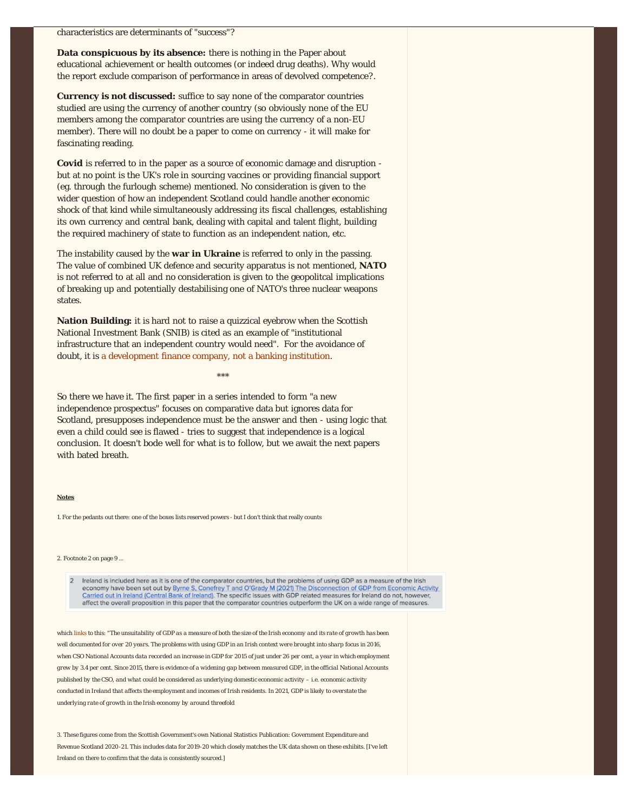**Data conspicuous by its absence:** there is nothing in the Paper about educational achievement or health outcomes (or indeed drug deaths). Why would the report exclude comparison of performance in areas of devolved competence?.

**Currency is not discussed:** suffice to say none of the comparator countries studied are using the currency of another country (so obviously none of the EU members among the comparator countries are using the currency of a non-EU member). There will no doubt be a paper to come on currency - it will make for fascinating reading.

**Covid** is referred to in the paper as a source of economic damage and disruption but at no point is the UK's role in sourcing vaccines or providing financial support (eg. through the furlough scheme) mentioned. No consideration is given to the wider question of how an independent Scotland could handle another economic shock of that kind while simultaneously addressing its fiscal challenges, establishing its own currency and central bank, dealing with capital and talent flight, building the required machinery of state to function as an independent nation, etc.

The instability caused by the **war in Ukraine** is referred to only in the passing. The value of combined UK defence and security apparatus is not mentioned, **NATO** is not referred to at all and no consideration is given to the geopolitcal implications of breaking up and potentially destabilising one of NATO's three nuclear weapons states.

**Nation Building:** it is hard not to raise a quizzical eyebrow when the Scottish National Investment Bank (SNIB) is cited as an example of "institutional infrastructure that an independent country would need". For the avoidance of doubt, it is [a development finance company, not a banking institution.](https://www.thebank.scot/)

So there we have it. The first paper in a series intended to form "a new independence prospectus" focuses on comparative data but ignores data for Scotland, presupposes independence must be the answer and then - using logic that even a child could see is flawed - tries to suggest that independence is a logical conclusion. It doesn't bode well for what is to follow, but we await the next papers with bated breath.

\*\*\*

#### **Notes**

1. For the pedants out there: one of the boxes lists reserved powers - but I don't think that really counts

#### 2. Footnote 2 on page 9 ...

Ireland is included here as it is one of the comparator countries, but the problems of using GDP as a measure of the Irish  $\overline{z}$ economy have been set out by Byrne S, Conefrey T and O'Grady M (2021) The Disconnection of GDP from Economic Activity<br>Carried out in Ireland (Central Bank of Ireland). The specific issues with GDP related measures for Irel affect the overall proposition in this paper that the comparator countries outperform the UK on a wide range of measures.

which [links](https://www.centralbank.ie/docs/default-source/publications/quarterly-bulletins/boxes/qb4-2021/box-c-the-disconnection-of-gdp-from-economic-activity-carried-out-in-ireland.pdf?sfvrsn=2) to this: "*The unsuitability of GDP as a measure of both the size of the Irish economy and its rate of growth has been well documented for over 20 years. The problems with using GDP in an Irish context were brought into sharp focus in 2016, when CSO National Accounts data recorded an increase in GDP for 2015 of just under 26 per cent, a year in which employment grew by 3.4 per cent. Since 2015, there is evidence of a widening gap between measured GDP, in the official National Accounts published by the CSO, and what could be considered as underlying domestic economic activity – i.e. economic activity conducted in Ireland that affects the employment and incomes of Irish residents. In 2021, GDP is likely to overstate the underlying rate of growth in the Irish economy by around threefold*

3. These figures come from the Scottish Government's own National Statistics Publication: Government Expenditure and Revenue Scotland 2020-21. This includes data for 2019-20 which closely matches the UK data shown on these exhibits. [I've left Ireland on there to confirm that the data is consistently sourced.]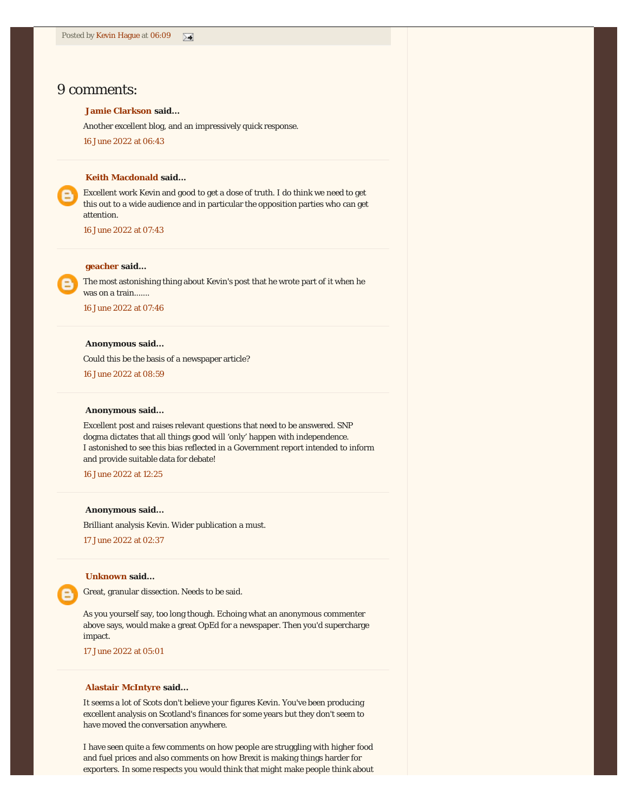## 9 comments:

## **[Jamie Clarkson](https://www.blogger.com/profile/15382054522316245451) said...**

Another excellent blog, and an impressively quick response.

[16 June 2022 at 06:43](https://chokkablog.blogspot.com/2022/06/we-need-to-talk-about-scotland.html?showComment=1655387019246#c5044071194106405714)

#### **[Keith Macdonald](https://www.blogger.com/profile/10889569814380351496) said...**

Excellent work Kevin and good to get a dose of truth. I do think we need to get this out to a wide audience and in particular the opposition parties who can get attention.

[16 June 2022 at 07:43](https://chokkablog.blogspot.com/2022/06/we-need-to-talk-about-scotland.html?showComment=1655390637706#c8493545056216631779)

## **[geacher](https://www.blogger.com/profile/00025353543230277683) said...**

The most astonishing thing about Kevin's post that he wrote part of it when he was on a train.......

[16 June 2022 at 07:46](https://chokkablog.blogspot.com/2022/06/we-need-to-talk-about-scotland.html?showComment=1655390769709#c5235491122114788363)

## **Anonymous said...**

Could this be the basis of a newspaper article?

[16 June 2022 at 08:59](https://chokkablog.blogspot.com/2022/06/we-need-to-talk-about-scotland.html?showComment=1655395194430#c1981848376664525530)

#### **Anonymous said...**

Excellent post and raises relevant questions that need to be answered. SNP dogma dictates that all things good will 'only' happen with independence. I astonished to see this bias reflected in a Government report intended to inform and provide suitable data for debate!

[16 June 2022 at 12:25](https://chokkablog.blogspot.com/2022/06/we-need-to-talk-about-scotland.html?showComment=1655407522577#c1814969550836118930)

## **Anonymous said...**

Brilliant analysis Kevin. Wider publication a must.

[17 June 2022 at 02:37](https://chokkablog.blogspot.com/2022/06/we-need-to-talk-about-scotland.html?showComment=1655458668231#c8047860744574768287)

## **[Unknown](https://www.blogger.com/profile/11750719656170353761) said...**

Great, granular dissection. Needs to be said.

As you yourself say, too long though. Echoing what an anonymous commenter above says, would make a great OpEd for a newspaper. Then you'd supercharge impact.

[17 June 2022 at 05:01](https://chokkablog.blogspot.com/2022/06/we-need-to-talk-about-scotland.html?showComment=1655467277945#c3228129493960826023)

## **[Alastair McIntyre](https://electricscotland.com/) said...**

It seems a lot of Scots don't believe your figures Kevin. You've been producing excellent analysis on Scotland's finances for some years but they don't seem to have moved the conversation anywhere.

I have seen quite a few comments on how people are struggling with higher food and fuel prices and also comments on how Brexit is making things harder for exporters. In some respects you would think that might make people think about